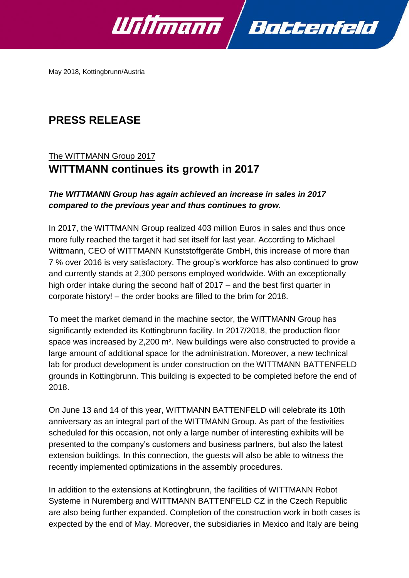

May 2018, Kottingbrunn/Austria

# **PRESS RELEASE**

## The WITTMANN Group 2017 **WITTMANN continues its growth in 2017**

## *The WITTMANN Group has again achieved an increase in sales in 2017 compared to the previous year and thus continues to grow.*

In 2017, the WITTMANN Group realized 403 million Euros in sales and thus once more fully reached the target it had set itself for last year. According to Michael Wittmann, CEO of WITTMANN Kunststoffgeräte GmbH, this increase of more than 7 % over 2016 is very satisfactory. The group's workforce has also continued to grow and currently stands at 2,300 persons employed worldwide. With an exceptionally high order intake during the second half of 2017 – and the best first quarter in corporate history! – the order books are filled to the brim for 2018.

To meet the market demand in the machine sector, the WITTMANN Group has significantly extended its Kottingbrunn facility. In 2017/2018, the production floor space was increased by 2,200 m². New buildings were also constructed to provide a large amount of additional space for the administration. Moreover, a new technical lab for product development is under construction on the WITTMANN BATTENFELD grounds in Kottingbrunn. This building is expected to be completed before the end of 2018.

On June 13 and 14 of this year, WITTMANN BATTENFELD will celebrate its 10th anniversary as an integral part of the WITTMANN Group. As part of the festivities scheduled for this occasion, not only a large number of interesting exhibits will be presented to the company's customers and business partners, but also the latest extension buildings. In this connection, the guests will also be able to witness the recently implemented optimizations in the assembly procedures.

In addition to the extensions at Kottingbrunn, the facilities of WITTMANN Robot Systeme in Nuremberg and WITTMANN BATTENFELD CZ in the Czech Republic are also being further expanded. Completion of the construction work in both cases is expected by the end of May. Moreover, the subsidiaries in Mexico and Italy are being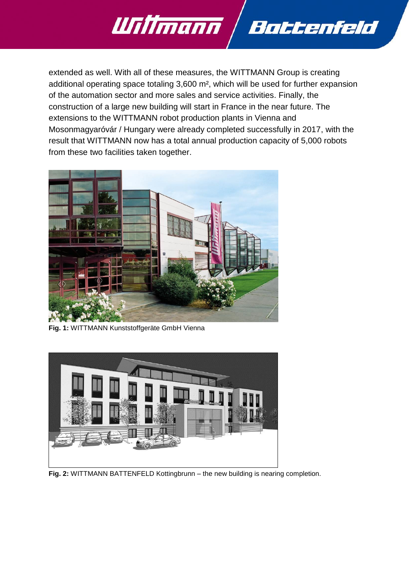

extended as well. With all of these measures, the WITTMANN Group is creating additional operating space totaling 3,600 m², which will be used for further expansion of the automation sector and more sales and service activities. Finally, the construction of a large new building will start in France in the near future. The extensions to the WITTMANN robot production plants in Vienna and Mosonmagyaróvár / Hungary were already completed successfully in 2017, with the result that WITTMANN now has a total annual production capacity of 5,000 robots from these two facilities taken together.



**Fig. 1:** WITTMANN Kunststoffgeräte GmbH Vienna



**Fig. 2:** WITTMANN BATTENFELD Kottingbrunn – the new building is nearing completion.